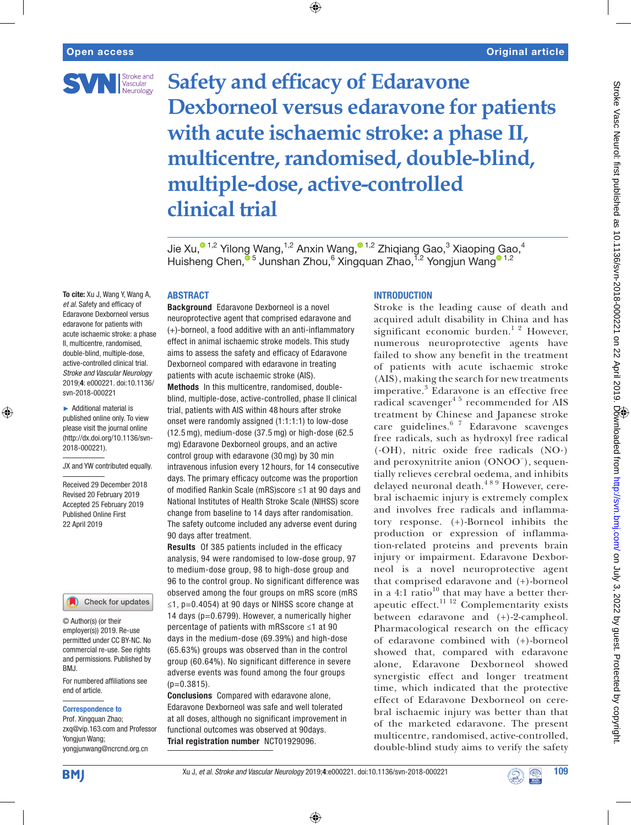

**Safety and efficacy of Edaravone Dexborneol versus edaravone for patients with acute ischaemic stroke: a phase II, multicentre, randomised, double-blind, multiple-dose, active-controlled clinical trial**

⊕

Jie Xu,<sup>o 1,2</sup> Yilong Wang,<sup>1,2</sup> Anxin Wang,<sup>o 1,2</sup> Zhiqiang Gao,<sup>3</sup> Xiaoping Gao,<sup>4</sup> Huisheng Chen,  $^{\circ}$ <sup>5</sup> Junshan Zhou, 6 Xingquan Zhao, <sup>ī,2</sup> Yongjun Wang <sup>01,2</sup>

## **ABSTRACT**

To cite: Xu J, Wang Y, Wang A, *et al*. Safety and efficacy of Edaravone Dexborneol versus edaravone for patients with acute ischaemic stroke: a phase II, multicentre, randomised, double-blind, multiple-dose, active-controlled clinical trial. *Stroke and Vascular Neurology* 2019;4: e000221. doi:10.1136/ svn-2018-000221

► Additional material is published online only. To view please visit the journal online (http://dx.doi.org/10.1136/svn-2018-000221).

⊕

JX and YW contributed equally.

Received 29 December 2018 Revised 20 February 2019 Accepted 25 February 2019 Published Online First 22 April 2019



© Author(s) (or their employer(s)) 2019. Re-use permitted under CC BY-NC. No commercial re-use. See rights and permissions. Published by BMJ.

For numbered affiliations see end of article.

#### Correspondence to

Prof. Xingquan Zhao; zxq@vip.163.com and Professor Yongjun Wang; yongjunwang@ncrcnd.org.cn

Background Edaravone Dexborneol is a novel neuroprotective agent that comprised edaravone and (+)-borneol, a food additive with an anti-inflammatory effect in animal ischaemic stroke models. This study aims to assess the safety and efficacy of Edaravone Dexborneol compared with edaravone in treating patients with acute ischaemic stroke (AIS). Methods In this multicentre, randomised, doubleblind, multiple-dose, active-controlled, phase II clinical trial, patients with AIS within 48 hours after stroke onset were randomly assigned (1:1:1:1) to low-dose (12.5 mg), medium-dose (37.5 mg) or high-dose (62.5 mg) Edaravone Dexborneol groups, and an active control group with edaravone (30 mg) by 30 min intravenous infusion every 12 hours, for 14 consecutive days. The primary efficacy outcome was the proportion of modified Rankin Scale (mRS)score ≤1 at 90 days and National Institutes of Health Stroke Scale (NIHSS) score change from baseline to 14 days after randomisation. The safety outcome included any adverse event during 90 days after treatment.

Results Of 385 patients included in the efficacy analysis, 94 were randomised to low-dose group, 97 to medium-dose group, 98 to high-dose group and 96 to the control group. No significant difference was observed among the four groups on mRS score (mRS ≤1, p=0.4054) at 90 days or NIHSS score change at 14 days (p=0.6799). However, a numerically higher percentage of patients with mRSscore ≤1 at 90 days in the medium-dose (69.39%) and high-dose (65.63%) groups was observed than in the control group (60.64%). No significant difference in severe adverse events was found among the four groups  $(p=0.3815)$ .

Conclusions Compared with edaravone alone, Edaravone Dexborneol was safe and well tolerated at all doses, although no significant improvement in functional outcomes was observed at 90days. Trial registration number NCT01929096.

## **INTRODUCTION**

Stroke is the leading cause of death and acquired adult disability in China and has significant economic burden.<sup>1</sup> <sup>2</sup> However, numerous neuroprotective agents have failed to show any benefit in the treatment of patients with acute ischaemic stroke (AIS), making the search for new treatments imperative.<sup>3</sup> Edaravone is an effective free radical scavenger<sup>45</sup> recommended for AIS treatment by Chinese and Japanese stroke care guidelines.<sup>6 7</sup> Edaravone scavenges free radicals, such as hydroxyl free radical (·OH), nitric oxide free radicals (NO·) and peroxynitrite anion (ONOO<sup>−</sup> ), sequentially relieves cerebral oedema, and inhibits delayed neuronal death.<sup>489</sup> However, cerebral ischaemic injury is extremely complex and involves free radicals and inflammatory response. (+)-Borneol inhibits the production or expression of inflammation-related proteins and prevents brain injury or impairment. Edaravone Dexborneol is a novel neuroprotective agent that comprised edaravone and (+)-borneol in a 4:1 ratio $10$ <sup>th</sup> that may have a better therapeutic effect.<sup>11 12</sup> Complementarity exists between edaravone and (+)-2-campheol. Pharmacological research on the efficacy of edaravone combined with (+)-borneol showed that, compared with edaravone alone, Edaravone Dexborneol showed synergistic effect and longer treatment time, which indicated that the protective effect of Edaravone Dexborneol on cerebral ischaemic injury was better than that of the marketed edaravone. The present multicentre, randomised, active-controlled, double-blind study aims to verify the safety



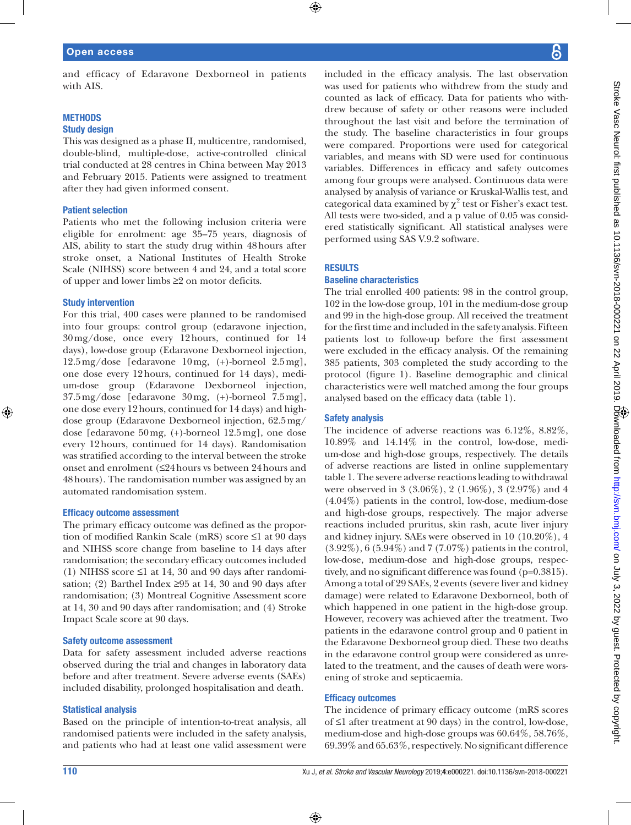## Open access

and efficacy of Edaravone Dexborneol in patients with AIS.

## **METHODS** Study design

# This was designed as a phase II, multicentre, randomised, double-blind, multiple-dose, active-controlled clinical trial conducted at 28 centres in China between May 2013 and February 2015. Patients were assigned to treatment after they had given informed consent.

### Patient selection

Patients who met the following inclusion criteria were eligible for enrolment: age 35–75 years, diagnosis of AIS, ability to start the study drug within 48hours after stroke onset, a National Institutes of Health Stroke Scale (NIHSS) score between 4 and 24, and a total score of upper and lower limbs ≥2 on motor deficits.

#### Study intervention

⊕

For this trial, 400 cases were planned to be randomised into four groups: control group (edaravone injection, 30mg/dose, once every 12hours, continued for 14 days), low-dose group (Edaravone Dexborneol injection, 12.5mg/dose [edaravone 10mg, (+)-borneol 2.5mg], one dose every 12hours, continued for 14 days), medium-dose group (Edaravone Dexborneol injection, 37.5mg/dose [edaravone 30mg, (+)-borneol 7.5mg], one dose every 12hours, continued for 14 days) and highdose group (Edaravone Dexborneol injection, 62.5mg/ dose [edaravone 50mg, (+)-borneol 12.5mg], one dose every 12hours, continued for 14 days). Randomisation was stratified according to the interval between the stroke onset and enrolment (≤24hours vs between 24hours and 48hours). The randomisation number was assigned by an automated randomisation system.

#### Efficacy outcome assessment

The primary efficacy outcome was defined as the proportion of modified Rankin Scale (mRS) score ≤1 at 90 days and NIHSS score change from baseline to 14 days after randomisation; the secondary efficacy outcomes included (1) NIHSS score ≤1 at 14, 30 and 90 days after randomisation; (2) Barthel Index  $\geq$ 95 at 14, 30 and 90 days after randomisation; (3) Montreal Cognitive Assessment score at 14, 30 and 90 days after randomisation; and (4) Stroke Impact Scale score at 90 days.

#### Safety outcome assessment

Data for safety assessment included adverse reactions observed during the trial and changes in laboratory data before and after treatment. Severe adverse events (SAEs) included disability, prolonged hospitalisation and death.

### Statistical analysis

Based on the principle of intention-to-treat analysis, all randomised patients were included in the safety analysis, and patients who had at least one valid assessment were included in the efficacy analysis. The last observation was used for patients who withdrew from the study and counted as lack of efficacy. Data for patients who withdrew because of safety or other reasons were included throughout the last visit and before the termination of the study. The baseline characteristics in four groups were compared. Proportions were used for categorical variables, and means with SD were used for continuous variables. Differences in efficacy and safety outcomes among four groups were analysed. Continuous data were analysed by analysis of variance or Kruskal-Wallis test, and categorical data examined by  $\chi^2$  test or Fisher's exact test. All tests were two-sided, and a p value of 0.05 was considered statistically significant. All statistical analyses were performed using SAS V.9.2 software.

### **RESULTS**

### Baseline characteristics

The trial enrolled 400 patients: 98 in the control group, 102 in the low-dose group, 101 in the medium-dose group and 99 in the high-dose group. All received the treatment for the first time and included in the safety analysis. Fifteen patients lost to follow-up before the first assessment were excluded in the efficacy analysis. Of the remaining 385 patients, 303 completed the study according to the protocol (figure 1). Baseline demographic and clinical characteristics were well matched among the four groups analysed based on the efficacy data (table 1).

#### Safety analysis

The incidence of adverse reactions was 6.12%, 8.82%, 10.89% and 14.14% in the control, low-dose, medium-dose and high-dose groups, respectively. The details of adverse reactions are listed in online supplementary table 1. The severe adverse reactions leading to withdrawal were observed in 3 (3.06%), 2 (1.96%), 3 (2.97%) and 4 (4.04%) patients in the control, low-dose, medium-dose and high-dose groups, respectively. The major adverse reactions included pruritus, skin rash, acute liver injury and kidney injury. SAEs were observed in 10 (10.20%), 4 (3.92%), 6 (5.94%) and 7 (7.07%) patients in the control, low-dose, medium-dose and high-dose groups, respectively, and no significant difference was found (p=0.3815). Among a total of 29 SAEs, 2 events (severe liver and kidney damage) were related to Edaravone Dexborneol, both of which happened in one patient in the high-dose group. However, recovery was achieved after the treatment. Two patients in the edaravone control group and 0 patient in the Edaravone Dexborneol group died. These two deaths in the edaravone control group were considered as unrelated to the treatment, and the causes of death were worsening of stroke and septicaemia.

### Efficacy outcomes

⊕

The incidence of primary efficacy outcome (mRS scores of ≤1 after treatment at 90 days) in the control, low-dose, medium-dose and high-dose groups was 60.64%, 58.76%, 69.39% and 65.63%, respectively. No significant difference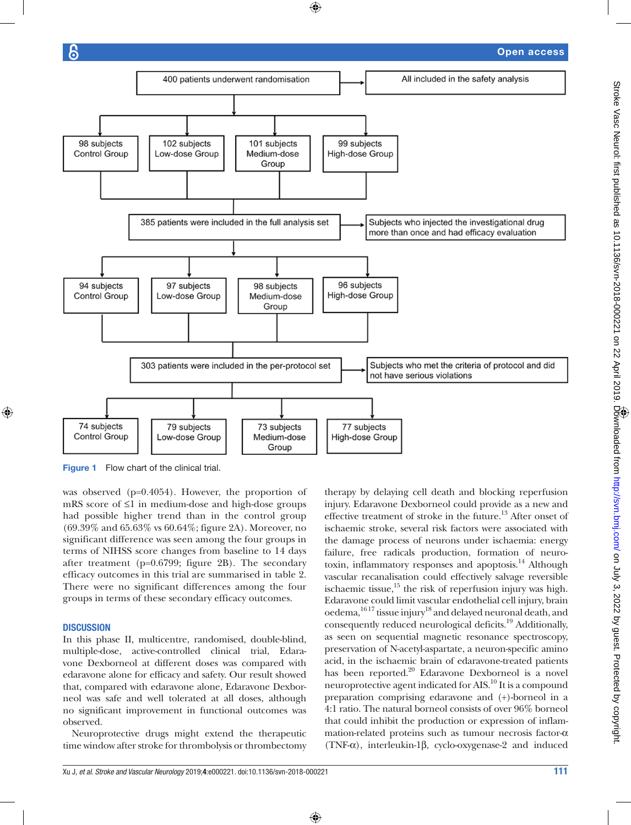⊕



⊕

Figure 1 Flow chart of the clinical trial.

was observed (p=0.4054). However, the proportion of mRS score of ≤1 in medium-dose and high-dose groups had possible higher trend than in the control group (69.39% and 65.63% vs 60.64%; figure 2A). Moreover, no significant difference was seen among the four groups in terms of NIHSS score changes from baseline to 14 days after treatment (p=0.6799; figure 2B). The secondary efficacy outcomes in this trial are summarised in table 2. There were no significant differences among the four groups in terms of these secondary efficacy outcomes.

## **DISCUSSION**

⊕

In this phase II, multicentre, randomised, double-blind, multiple-dose, active-controlled clinical trial, Edaravone Dexborneol at different doses was compared with edaravone alone for efficacy and safety. Our result showed that, compared with edaravone alone, Edaravone Dexborneol was safe and well tolerated at all doses, although no significant improvement in functional outcomes was observed.

Neuroprotective drugs might extend the therapeutic time window after stroke for thrombolysis or thrombectomy therapy by delaying cell death and blocking reperfusion injury. Edaravone Dexborneol could provide as a new and effective treatment of stroke in the future.<sup>13</sup> After onset of ischaemic stroke, several risk factors were associated with the damage process of neurons under ischaemia: energy failure, free radicals production, formation of neurotoxin, inflammatory responses and apoptosis.<sup>14</sup> Although vascular recanalisation could effectively salvage reversible ischaemic tissue, $15$  the risk of reperfusion injury was high. Edaravone could limit vascular endothelial cell injury, brain oedema,16 17 tissue injury18 and delayed neuronal death, and consequently reduced neurological deficits.19 Additionally, as seen on sequential magnetic resonance spectroscopy, preservation of N-acetyl-aspartate, a neuron-specific amino acid, in the ischaemic brain of edaravone-treated patients has been reported.<sup>20</sup> Edaravone Dexborneol is a novel neuroprotective agent indicated for AIS.10 It is a compound preparation comprising edaravone and (+)-borneol in a 4:1 ratio. The natural borneol consists of over 96% borneol that could inhibit the production or expression of inflammation-related proteins such as tumour necrosis factor-α (TNF-α), interleukin-1β, cyclo-oxygenase-2 and induced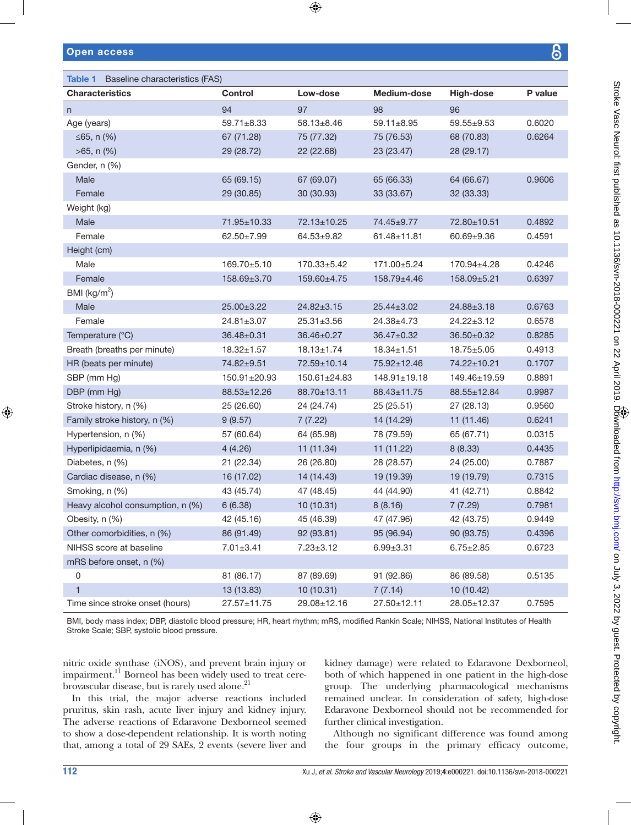| Table 1 Baseline characteristics (FAS) |                  |                   |                    |                  |         |  |  |  |  |
|----------------------------------------|------------------|-------------------|--------------------|------------------|---------|--|--|--|--|
| <b>Characteristics</b>                 | <b>Control</b>   | Low-dose          | Medium-dose        | High-dose        | P value |  |  |  |  |
| n                                      | 94               | 97                | 98                 | 96               |         |  |  |  |  |
| Age (years)                            | $59.71 \pm 8.33$ | 58.13±8.46        | 59.11±8.95         | 59.55±9.53       | 0.6020  |  |  |  |  |
| ≤65, n $(%$                            | 67 (71.28)       | 75 (77.32)        | 75 (76.53)         | 68 (70.83)       | 0.6264  |  |  |  |  |
| $>65$ , n $(\%)$                       | 29 (28.72)       | 22 (22.68)        | 23 (23.47)         | 28 (29.17)       |         |  |  |  |  |
| Gender, n (%)                          |                  |                   |                    |                  |         |  |  |  |  |
| Male                                   | 65 (69.15)       | 67 (69.07)        | 65 (66.33)         | 64 (66.67)       | 0.9606  |  |  |  |  |
| Female                                 | 29 (30.85)       | 30 (30.93)        | 33 (33.67)         | 32 (33.33)       |         |  |  |  |  |
| Weight (kg)                            |                  |                   |                    |                  |         |  |  |  |  |
| Male                                   | 71.95±10.33      | 72.13±10.25       | 74.45±9.77         | 72.80±10.51      | 0.4892  |  |  |  |  |
| Female                                 | $62.50 \pm 7.99$ | 64.53±9.82        | 61.48±11.81        | $60.69 + 9.36$   | 0.4591  |  |  |  |  |
| Height (cm)                            |                  |                   |                    |                  |         |  |  |  |  |
| Male                                   | 169.70±5.10      | $170.33 \pm 5.42$ | 171.00±5.24        | 170.94±4.28      | 0.4246  |  |  |  |  |
| Female                                 | 158.69±3.70      | 159.60±4.75       | 158.79±4.46        | 158.09±5.21      | 0.6397  |  |  |  |  |
| BMI ( $\text{kg/m}^2$ )                |                  |                   |                    |                  |         |  |  |  |  |
| Male                                   | $25.00 \pm 3.22$ | $24.82 \pm 3.15$  | 25.44±3.02         | 24.88±3.18       | 0.6763  |  |  |  |  |
| Female                                 | $24.81 \pm 3.07$ | $25.31 \pm 3.56$  | 24.38±4.73         | $24.22 \pm 3.12$ | 0.6578  |  |  |  |  |
| Temperature (°C)                       | $36.48 \pm 0.31$ | 36.46±0.27        | 36.47±0.32         | $36.50 \pm 0.32$ | 0.8285  |  |  |  |  |
| Breath (breaths per minute)            | $18.32 \pm 1.57$ | $18.13 \pm 1.74$  | $18.34 \pm 1.51$   | $18.75 \pm 5.05$ | 0.4913  |  |  |  |  |
| HR (beats per minute)                  | 74.82±9.51       | 72.59±10.14       | 75.92±12.46        | 74.22±10.21      | 0.1707  |  |  |  |  |
| SBP (mm Hg)                            | 150.91±20.93     | 150.61±24.83      | $148.91 \pm 19.18$ | 149.46±19.59     | 0.8891  |  |  |  |  |
| DBP (mm Hg)                            | 88.53±12.26      | 88.70±13.11       | 88.43±11.75        | 88.55±12.84      | 0.9987  |  |  |  |  |
| Stroke history, n (%)                  | 25 (26.60)       | 24 (24.74)        | 25 (25.51)         | 27 (28.13)       | 0.9560  |  |  |  |  |
| Family stroke history, n (%)           | 9(9.57)          | 7(7.22)           | 14 (14.29)         | 11 (11.46)       | 0.6241  |  |  |  |  |
| Hypertension, n (%)                    | 57 (60.64)       | 64 (65.98)        | 78 (79.59)         | 65 (67.71)       | 0.0315  |  |  |  |  |
| Hyperlipidaemia, n (%)                 | 4(4.26)          | 11(11.34)         | 11 (11.22)         | 8(8.33)          | 0.4435  |  |  |  |  |
| Diabetes, n (%)                        | 21 (22.34)       | 26 (26.80)        | 28 (28.57)         | 24 (25.00)       | 0.7887  |  |  |  |  |
| Cardiac disease, n (%)                 | 16 (17.02)       | 14 (14.43)        | 19 (19.39)         | 19 (19.79)       | 0.7315  |  |  |  |  |
| Smoking, n (%)                         | 43 (45.74)       | 47 (48.45)        | 44 (44.90)         | 41 (42.71)       | 0.8842  |  |  |  |  |
| Heavy alcohol consumption, n (%)       | 6(6.38)          | 10 (10.31)        | 8(8.16)            | 7(7.29)          | 0.7981  |  |  |  |  |
| Obesity, n (%)                         | 42 (45.16)       | 45 (46.39)        | 47 (47.96)         | 42 (43.75)       | 0.9449  |  |  |  |  |
| Other comorbidities, n (%)             | 86 (91.49)       | 92 (93.81)        | 95 (96.94)         | 90 (93.75)       | 0.4396  |  |  |  |  |
| NIHSS score at baseline                | $7.01 \pm 3.41$  | $7.23 \pm 3.12$   | $6.99 \pm 3.31$    | $6.75 \pm 2.85$  | 0.6723  |  |  |  |  |
| mRS before onset, n (%)                |                  |                   |                    |                  |         |  |  |  |  |
| $\mathsf 0$                            | 81 (86.17)       | 87 (89.69)        | 91 (92.86)         | 86 (89.58)       | 0.5135  |  |  |  |  |
| $\mathbf{1}$                           | 13 (13.83)       | 10 (10.31)        | 7(7.14)            | 10 (10.42)       |         |  |  |  |  |
| Time since stroke onset (hours)        | 27.57±11.75      | 29.08±12.16       | 27.50±12.11        | 28.05±12.37      | 0.7595  |  |  |  |  |

 $\bigoplus$ 

BMI, body mass index; DBP, diastolic blood pressure; HR, heart rhythm; mRS, modified Rankin Scale; NIHSS, National Institutes of Health Stroke Scale; SBP, systolic blood pressure.

⊕

nitric oxide synthase (iNOS), and prevent brain injury or impairment.<sup>11</sup> Borneol has been widely used to treat cerebrovascular disease, but is rarely used alone.<sup>21</sup>

In this trial, the major adverse reactions included pruritus, skin rash, acute liver injury and kidney injury. The adverse reactions of Edaravone Dexborneol seemed to show a dose-dependent relationship. It is worth noting that, among a total of 29 SAEs, 2 events (severe liver and kidney damage) were related to Edaravone Dexborneol, both of which happened in one patient in the high-dose group. The underlying pharmacological mechanisms remained unclear. In consideration of safety, high-dose Edaravone Dexborneol should not be recommended for further clinical investigation.

Although no significant difference was found among the four groups in the primary efficacy outcome,

⊕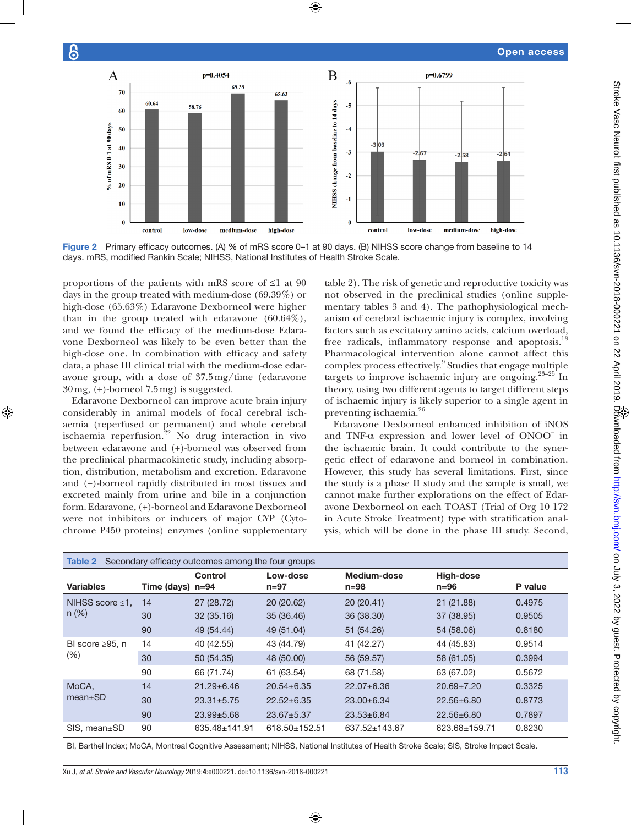$\bigoplus$ 





proportions of the patients with mRS score of ≤1 at 90 days in the group treated with medium-dose (69.39%) or high-dose (65.63%) Edaravone Dexborneol were higher than in the group treated with edaravone (60.64%), and we found the efficacy of the medium-dose Edaravone Dexborneol was likely to be even better than the high-dose one. In combination with efficacy and safety data, a phase III clinical trial with the medium-dose edaravone group, with a dose of 37.5mg/time (edaravone 30mg, (+)-borneol 7.5mg) is suggested.

6

⊕

Edaravone Dexborneol can improve acute brain injury considerably in animal models of focal cerebral ischaemia (reperfused or permanent) and whole cerebral ischaemia reperfusion.<sup>22</sup> No drug interaction in vivo between edaravone and (+)-borneol was observed from the preclinical pharmacokinetic study, including absorption, distribution, metabolism and excretion. Edaravone and (+)-borneol rapidly distributed in most tissues and excreted mainly from urine and bile in a conjunction form. Edaravone, (+)-borneol and Edaravone Dexborneol were not inhibitors or inducers of major CYP (Cytochrome P450 proteins) enzymes (online supplementary table 2). The risk of genetic and reproductive toxicity was not observed in the preclinical studies (online supplementary tables 3 and 4). The pathophysiological mechanism of cerebral ischaemic injury is complex, involving factors such as excitatory amino acids, calcium overload, free radicals, inflammatory response and apoptosis.<sup>18</sup> Pharmacological intervention alone cannot affect this complex process effectively.<sup>9</sup> Studies that engage multiple targets to improve ischaemic injury are ongoing. $23-25$  In theory, using two different agents to target different steps of ischaemic injury is likely superior to a single agent in preventing ischaemia.<sup>26</sup>

Edaravone Dexborneol enhanced inhibition of iNOS and TNF-α expression and lower level of ONOO− in the ischaemic brain. It could contribute to the synergetic effect of edaravone and borneol in combination. However, this study has several limitations. First, since the study is a phase II study and the sample is small, we cannot make further explorations on the effect of Edaravone Dexborneol on each TOAST (Trial of Org 10 172 in Acute Stroke Treatment) type with stratification analysis, which will be done in the phase III study. Second,

| Secondary efficacy outcomes among the four groups<br>Table 2 |                  |                  |                      |                         |                       |         |  |  |  |  |
|--------------------------------------------------------------|------------------|------------------|----------------------|-------------------------|-----------------------|---------|--|--|--|--|
| <b>Variables</b>                                             | Time (days) n=94 | <b>Control</b>   | Low-dose<br>$n = 97$ | Medium-dose<br>$n = 98$ | High-dose<br>$n = 96$ | P value |  |  |  |  |
| NIHSS score $\leq 1$ ,<br>$n (\%)$                           | 14               | 27 (28.72)       | 20(20.62)            | 20(20.41)               | 21 (21.88)            | 0.4975  |  |  |  |  |
|                                                              | 30               | 32(35.16)        | 35 (36.46)           | 36 (38.30)              | 37 (38.95)            | 0.9505  |  |  |  |  |
|                                                              | 90               | 49 (54.44)       | 49 (51.04)           | 51 (54.26)              | 54 (58.06)            | 0.8180  |  |  |  |  |
| BI score $\geq 95$ . n<br>(% )                               | 14               | 40 (42.55)       | 43 (44.79)           | 41 (42.27)              | 44 (45.83)            | 0.9514  |  |  |  |  |
|                                                              | 30               | 50 (54.35)       | 48 (50.00)           | 56 (59.57)              | 58 (61.05)            | 0.3994  |  |  |  |  |
|                                                              | 90               | 66 (71.74)       | 61 (63.54)           | 68 (71.58)              | 63 (67.02)            | 0.5672  |  |  |  |  |
| MoCA,<br>$mean \pm SD$                                       | 14               | $21.29 + 6.46$   | $20.54 \pm 6.35$     | $22.07 + 6.36$          | $20.69 \pm 7.20$      | 0.3325  |  |  |  |  |
|                                                              | 30               | $23.31 \pm 5.75$ | $22.52 \pm 6.35$     | $23.00+6.34$            | $22.56 \pm 6.80$      | 0.8773  |  |  |  |  |
|                                                              | 90               | $23.99 \pm 5.68$ | $23.67 + 5.37$       | $23.53 \pm 6.84$        | $22.56 \pm 6.80$      | 0.7897  |  |  |  |  |
| SIS, mean±SD                                                 | 90               | 635.48±141.91    | 618.50±152.51        | 637.52±143.67           | 623.68±159.71         | 0.8230  |  |  |  |  |

BI, Barthel Index; MoCA, Montreal Cognitive Assessment; NIHSS, National Institutes of Health Stroke Scale; SIS, Stroke Impact Scale.

Xu J, *et al*. *Stroke and Vascular Neurology* 2019;4:e000221. doi:10.1136/svn-2018-000221 113